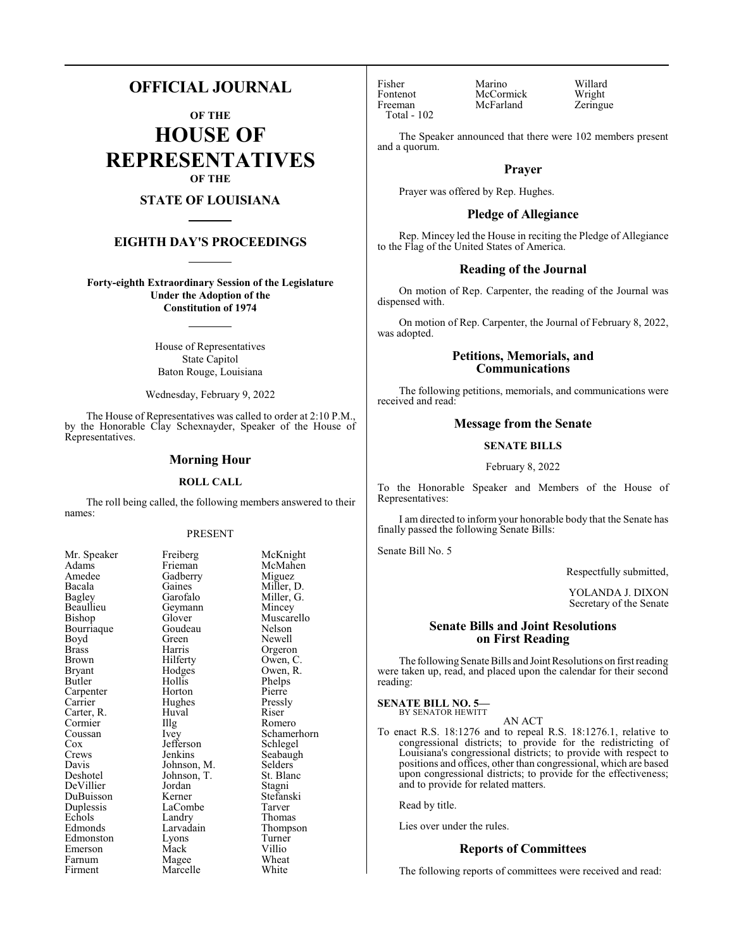## **OFFICIAL JOURNAL**

**OF THE HOUSE OF REPRESENTATIVES OF THE**

### **STATE OF LOUISIANA**

#### **EIGHTH DAY'S PROCEEDINGS**

**Forty-eighth Extraordinary Session of the Legislature Under the Adoption of the Constitution of 1974**

> House of Representatives State Capitol Baton Rouge, Louisiana

Wednesday, February 9, 2022

The House of Representatives was called to order at 2:10 P.M., by the Honorable Clay Schexnayder, Speaker of the House of Representatives.

#### **Morning Hour**

#### **ROLL CALL**

The roll being called, the following members answered to their names:

#### PRESENT

Adams Frieman McMahen<br>Amedee Gadberry Miguez Amedee Gadberry<br>Bacala Gaines Bacala Gaines Miller, D. Bagley Garofalo Miller, G. Beaullieu Geymann<br>Bishop Glover Bourriaque Goude<br>Boyd Green Boyd Green Newell<br>Brass Harris Orgero Brass Harris Orgeron Brown Hilferty Owen, C.<br>Bryant Hodges Owen, R. Butler Hollis Phelps<br>Carpenter Horton Pierre Carpenter Horton Pierre<br>Carrier Hughes Pressly Carter, R. Huval Riser Cormier Hugh Romero Cormier Illg<br>Coussan Ivey Coussan Ivey Schamerhorn<br>
Cox Jefferson Schlegel Crews Jenkins Seabaugh<br>
Davis Johnson, M. Selders Davis Johnson, M. Selders<br>Deshotel Johnson, T. St. Blanc DeVillier Jordan Stagni DuBuisson Kerner Stefans<br>Duplessis LaCombe Tarver Duplessis LaCombe<br>
Echols Landry Echols Landry Thomas<br>
Edmonds Larvadain Thomps Edmonston Lyons Turner<br>Emerson Mack Villio Emerson Mack Villio<br>
Farnum Magee Wheat Farnum Magee Wheat<br>Firment Marcelle White

Mr. Speaker Freiberg McKnight<br>
Adams Frieman McMahen Glover Muscarello<br>Goudeau Nelson Hodges Owen, R.<br>Hollis Phelps Hughes Pressl<br>Huval Riser Jefferson Johnson, T.<br>Jordan Larvadain Thompson<br>Lyons Turner Marcelle

Fisher Marino Willard Fontenot McCormick Wright<br>
Freeman McFarland Zeringue Total - 102

McFarland

The Speaker announced that there were 102 members present and a quorum.

#### **Prayer**

Prayer was offered by Rep. Hughes.

#### **Pledge of Allegiance**

Rep. Mincey led the House in reciting the Pledge of Allegiance to the Flag of the United States of America.

#### **Reading of the Journal**

On motion of Rep. Carpenter, the reading of the Journal was dispensed with.

On motion of Rep. Carpenter, the Journal of February 8, 2022, was adopted.

#### **Petitions, Memorials, and Communications**

The following petitions, memorials, and communications were received and read:

#### **Message from the Senate**

#### **SENATE BILLS**

February 8, 2022

To the Honorable Speaker and Members of the House of Representatives:

I am directed to inform your honorable body that the Senate has finally passed the following Senate Bills:

Senate Bill No. 5

Respectfully submitted,

YOLANDA J. DIXON Secretary of the Senate

#### **Senate Bills and Joint Resolutions on First Reading**

The following Senate Bills and Joint Resolutions on first reading were taken up, read, and placed upon the calendar for their second reading:

#### **SENATE BILL NO. 5—**

BY SENATOR HEWITT AN ACT

To enact R.S. 18:1276 and to repeal R.S. 18:1276.1, relative to congressional districts; to provide for the redistricting of Louisiana's congressional districts; to provide with respect to positions and offices, other than congressional, which are based upon congressional districts; to provide for the effectiveness; and to provide for related matters.

Read by title.

Lies over under the rules.

#### **Reports of Committees**

The following reports of committees were received and read: